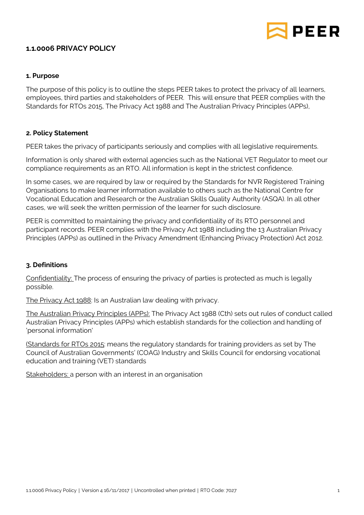

# **1.1.0006 PRIVACY POLICY**

## **1. Purpose**

The purpose of this policy is to outline the steps PEER takes to protect the privacy of all learners, employees, third parties and stakeholders of PEER. This will ensure that PEER complies with the Standards for RTOs 2015, The Privacy Act 1988 and The Australian Privacy Principles (APPs),

## **2. Policy Statement**

PEER takes the privacy of participants seriously and complies with all legislative requirements.

Information is only shared with external agencies such as the National VET Regulator to meet our compliance requirements as an RTO. All information is kept in the strictest confidence.

In some cases, we are required by law or required by the Standards for NVR Registered Training Organisations to make learner information available to others such as the National Centre for Vocational Education and Research or the Australian Skills Quality Authority (ASQA). In all other cases, we will seek the written permission of the learner for such disclosure.

PEER is committed to maintaining the privacy and confidentiality of its RTO personnel and participant records. PEER complies with the Privacy Act 1988 including the 13 Australian Privacy Principles (APPs) as outlined in the Privacy Amendment (Enhancing Privacy Protection) Act 2012.

### **3. Definitions**

Confidentiality: The process of ensuring the privacy of parties is protected as much is legally possible.

The Privacy Act 1988: Is an Australian law dealing with privacy.

The Australian Privacy Principles (APPs): The Privacy Act 1988 (Cth) sets out rules of conduct called Australian Privacy Principles (APPs) which establish standards for the collection and handling of 'personal information'

(Standards for RTOs 2015: means the regulatory standards for training providers as set by The Council of Australian Governments' (COAG) Industry and Skills Council for endorsing vocational education and training (VET) standards

Stakeholders: a person with an interest in an organisation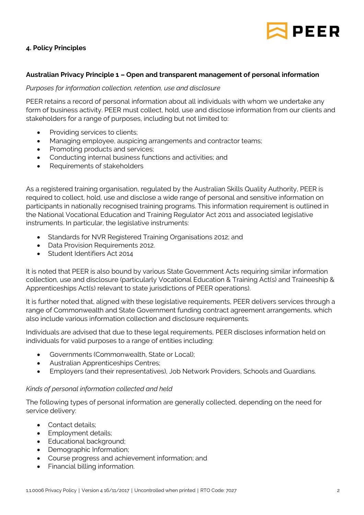

# **4. Policy Principles**

## **Australian Privacy Principle 1 – Open and transparent management of personal information**

### *Purposes for information collection, retention, use and disclosure*

PEER retains a record of personal information about all individuals with whom we undertake any form of business activity. PEER must collect, hold, use and disclose information from our clients and stakeholders for a range of purposes, including but not limited to:

- Providing services to clients;
- Managing employee, auspicing arrangements and contractor teams;
- Promoting products and services;
- Conducting internal business functions and activities; and
- Requirements of stakeholders

As a registered training organisation, regulated by the Australian Skills Quality Authority, PEER is required to collect, hold, use and disclose a wide range of personal and sensitive information on participants in nationally recognised training programs. This information requirement is outlined in the National Vocational Education and Training Regulator Act 2011 and associated legislative instruments. In particular, the legislative instruments:

- Standards for NVR Registered Training Organisations 2012; and
- Data Provision Requirements 2012.
- Student Identifiers Act 2014

It is noted that PEER is also bound by various State Government Acts requiring similar information collection, use and disclosure (particularly Vocational Education & Training Act(s) and Traineeship & Apprenticeships Act(s) relevant to state jurisdictions of PEER operations).

It is further noted that, aligned with these legislative requirements, PEER delivers services through a range of Commonwealth and State Government funding contract agreement arrangements, which also include various information collection and disclosure requirements.

Individuals are advised that due to these legal requirements, PEER discloses information held on individuals for valid purposes to a range of entities including:

- Governments (Commonwealth, State or Local);
- Australian Apprenticeships Centres;
- Employers (and their representatives), Job Network Providers, Schools and Guardians.

### *Kinds of personal information collected and held*

The following types of personal information are generally collected, depending on the need for service delivery:

- Contact details:
- Employment details;
- Educational background;
- Demographic Information;
- Course progress and achievement information; and
- Financial billing information.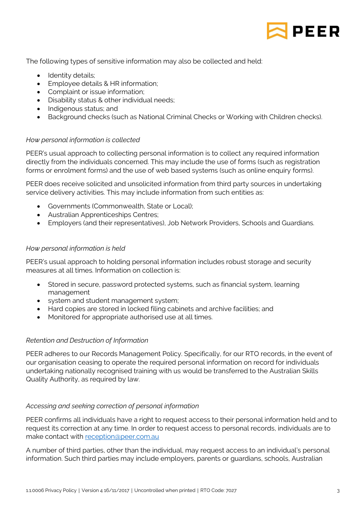

The following types of sensitive information may also be collected and held:

- Identity details;
- **Employee details & HR information;**
- Complaint or issue information:
- Disability status & other individual needs;
- Indigenous status; and
- Background checks (such as National Criminal Checks or Working with Children checks).

## *How personal information is collected*

PEER's usual approach to collecting personal information is to collect any required information directly from the individuals concerned. This may include the use of forms (such as registration forms or enrolment forms) and the use of web based systems (such as online enquiry forms).

PEER does receive solicited and unsolicited information from third party sources in undertaking service delivery activities. This may include information from such entities as:

- Governments (Commonwealth, State or Local);
- Australian Apprenticeships Centres;
- Employers (and their representatives), Job Network Providers, Schools and Guardians.

## *How personal information is held*

PEER's usual approach to holding personal information includes robust storage and security measures at all times. Information on collection is:

- Stored in secure, password protected systems, such as financial system, learning management
- system and student management system;
- Hard copies are stored in locked filing cabinets and archive facilities; and
- Monitored for appropriate authorised use at all times.

### *Retention and Destruction of Information*

PEER adheres to our Records Management Policy. Specifically, for our RTO records, in the event of our organisation ceasing to operate the required personal information on record for individuals undertaking nationally recognised training with us would be transferred to the Australian Skills Quality Authority, as required by law.

# *Accessing and seeking correction of personal information*

PEER confirms all individuals have a right to request access to their personal information held and to request its correction at any time. In order to request access to personal records, individuals are to make contact with [reception@peer.com.au](mailto:reception@peer.com.au)

A number of third parties, other than the individual, may request access to an individual's personal information. Such third parties may include employers, parents or guardians, schools, Australian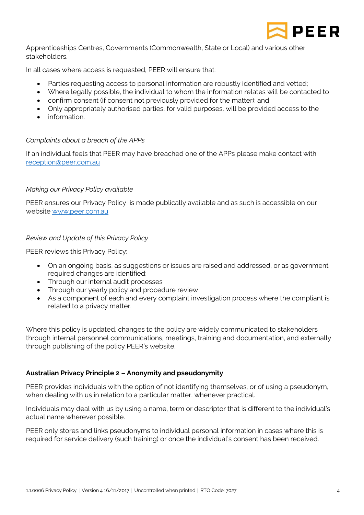

Apprenticeships Centres, Governments (Commonwealth, State or Local) and various other stakeholders.

In all cases where access is requested, PEER will ensure that:

- Parties requesting access to personal information are robustly identified and vetted;
- Where legally possible, the individual to whom the information relates will be contacted to
- confirm consent (if consent not previously provided for the matter); and
- Only appropriately authorised parties, for valid purposes, will be provided access to the
- **•** information.

### *Complaints about a breach of the APPs*

If an individual feels that PEER may have breached one of the APPs please make contact with [reception@peer.com.au](mailto:reception@peer.com.au)

#### *Making our Privacy Policy available*

PEER ensures our Privacy Policy is made publically available and as such is accessible on our website [www.peer.com.au](http://www.peer.com.au/)

#### *Review and Update of this Privacy Policy*

PEER reviews this Privacy Policy:

- On an ongoing basis, as suggestions or issues are raised and addressed, or as government required changes are identified;
- Through our internal audit processes
- Through our yearly policy and procedure review
- As a component of each and every complaint investigation process where the compliant is related to a privacy matter.

Where this policy is updated, changes to the policy are widely communicated to stakeholders through internal personnel communications, meetings, training and documentation, and externally through publishing of the policy PEER's website.

#### **Australian Privacy Principle 2 – Anonymity and pseudonymity**

PEER provides individuals with the option of not identifying themselves, or of using a pseudonym, when dealing with us in relation to a particular matter, whenever practical.

Individuals may deal with us by using a name, term or descriptor that is different to the individual's actual name wherever possible.

PEER only stores and links pseudonyms to individual personal information in cases where this is required for service delivery (such training) or once the individual's consent has been received.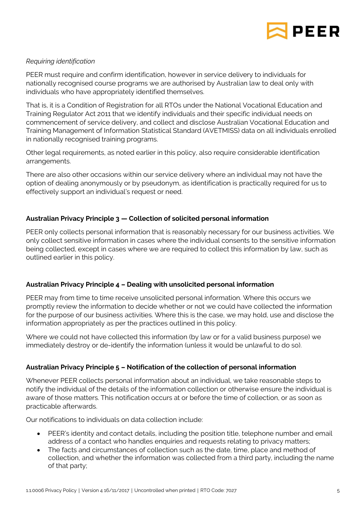

## *Requiring identification*

PEER must require and confirm identification, however in service delivery to individuals for nationally recognised course programs we are authorised by Australian law to deal only with individuals who have appropriately identified themselves.

That is, it is a Condition of Registration for all RTOs under the National Vocational Education and Training Regulator Act 2011 that we identify individuals and their specific individual needs on commencement of service delivery, and collect and disclose Australian Vocational Education and Training Management of Information Statistical Standard (AVETMISS) data on all individuals enrolled in nationally recognised training programs.

Other legal requirements, as noted earlier in this policy, also require considerable identification arrangements.

There are also other occasions within our service delivery where an individual may not have the option of dealing anonymously or by pseudonym, as identification is practically required for us to effectively support an individual's request or need.

# **Australian Privacy Principle 3 — Collection of solicited personal information**

PEER only collects personal information that is reasonably necessary for our business activities. We only collect sensitive information in cases where the individual consents to the sensitive information being collected, except in cases where we are required to collect this information by law, such as outlined earlier in this policy.

### **Australian Privacy Principle 4 – Dealing with unsolicited personal information**

PEER may from time to time receive unsolicited personal information. Where this occurs we promptly review the information to decide whether or not we could have collected the information for the purpose of our business activities. Where this is the case, we may hold, use and disclose the information appropriately as per the practices outlined in this policy.

Where we could not have collected this information (by law or for a valid business purpose) we immediately destroy or de-identify the information (unless it would be unlawful to do so).

### **Australian Privacy Principle 5 – Notification of the collection of personal information**

Whenever PEER collects personal information about an individual, we take reasonable steps to notify the individual of the details of the information collection or otherwise ensure the individual is aware of those matters. This notification occurs at or before the time of collection, or as soon as practicable afterwards.

Our notifications to individuals on data collection include:

- PEER's identity and contact details, including the position title, telephone number and email address of a contact who handles enquiries and requests relating to privacy matters;
- The facts and circumstances of collection such as the date, time, place and method of collection, and whether the information was collected from a third party, including the name of that party;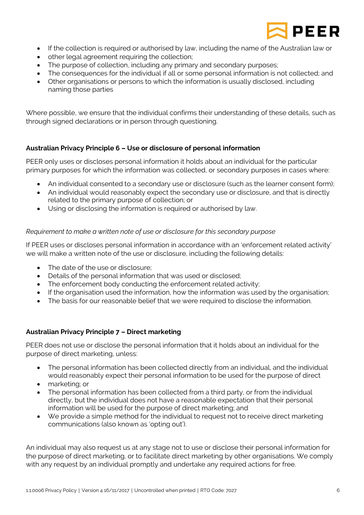

- If the collection is required or authorised by law, including the name of the Australian law or
- other legal agreement requiring the collection;
- The purpose of collection, including any primary and secondary purposes;
- The consequences for the individual if all or some personal information is not collected; and
- Other organisations or persons to which the information is usually disclosed, including naming those parties

Where possible, we ensure that the individual confirms their understanding of these details, such as through signed declarations or in person through questioning.

## **Australian Privacy Principle 6 – Use or disclosure of personal information**

PEER only uses or discloses personal information it holds about an individual for the particular primary purposes for which the information was collected, or secondary purposes in cases where:

- An individual consented to a secondary use or disclosure (such as the learner consent form);
- An individual would reasonably expect the secondary use or disclosure, and that is directly related to the primary purpose of collection; or
- Using or disclosing the information is required or authorised by law.

### *Requirement to make a written note of use or disclosure for this secondary purpose*

If PEER uses or discloses personal information in accordance with an 'enforcement related activity' we will make a written note of the use or disclosure, including the following details:

- The date of the use or disclosure:
- Details of the personal information that was used or disclosed;
- The enforcement body conducting the enforcement related activity;
- If the organisation used the information, how the information was used by the organisation;
- The basis for our reasonable belief that we were required to disclose the information.

### **Australian Privacy Principle 7 – Direct marketing**

PEER does not use or disclose the personal information that it holds about an individual for the purpose of direct marketing, unless:

- The personal information has been collected directly from an individual, and the individual would reasonably expect their personal information to be used for the purpose of direct
- marketing; or
- The personal information has been collected from a third party, or from the individual directly, but the individual does not have a reasonable expectation that their personal information will be used for the purpose of direct marketing; and
- We provide a simple method for the individual to request not to receive direct marketing communications (also known as 'opting out').

An individual may also request us at any stage not to use or disclose their personal information for the purpose of direct marketing, or to facilitate direct marketing by other organisations. We comply with any request by an individual promptly and undertake any required actions for free.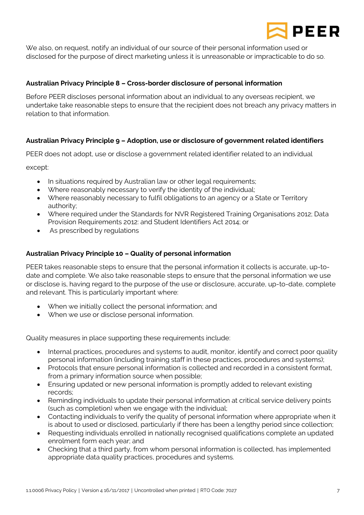

We also, on request, notify an individual of our source of their personal information used or disclosed for the purpose of direct marketing unless it is unreasonable or impracticable to do so.

## **Australian Privacy Principle 8 – Cross-border disclosure of personal information**

Before PEER discloses personal information about an individual to any overseas recipient, we undertake take reasonable steps to ensure that the recipient does not breach any privacy matters in relation to that information.

## **Australian Privacy Principle 9 – Adoption, use or disclosure of government related identifiers**

PEER does not adopt, use or disclose a government related identifier related to an individual

except:

- In situations required by Australian law or other legal requirements;
- Where reasonably necessary to verify the identity of the individual;
- Where reasonably necessary to fulfil obligations to an agency or a State or Territory authority;
- Where required under the Standards for NVR Registered Training Organisations 2012; Data Provision Requirements 2012: and Student Identifiers Act 2014; or
- As prescribed by regulations

## **Australian Privacy Principle 10 – Quality of personal information**

PEER takes reasonable steps to ensure that the personal information it collects is accurate, up-todate and complete. We also take reasonable steps to ensure that the personal information we use or disclose is, having regard to the purpose of the use or disclosure, accurate, up-to-date, complete and relevant. This is particularly important where:

- When we initially collect the personal information; and
- When we use or disclose personal information.

Quality measures in place supporting these requirements include:

- Internal practices, procedures and systems to audit, monitor, identify and correct poor quality personal information (including training staff in these practices, procedures and systems);
- Protocols that ensure personal information is collected and recorded in a consistent format, from a primary information source when possible;
- Ensuring updated or new personal information is promptly added to relevant existing records;
- Reminding individuals to update their personal information at critical service delivery points (such as completion) when we engage with the individual;
- Contacting individuals to verify the quality of personal information where appropriate when it is about to used or disclosed, particularly if there has been a lengthy period since collection;
- Requesting individuals enrolled in nationally recognised qualifications complete an updated enrolment form each year; and
- Checking that a third party, from whom personal information is collected, has implemented appropriate data quality practices, procedures and systems.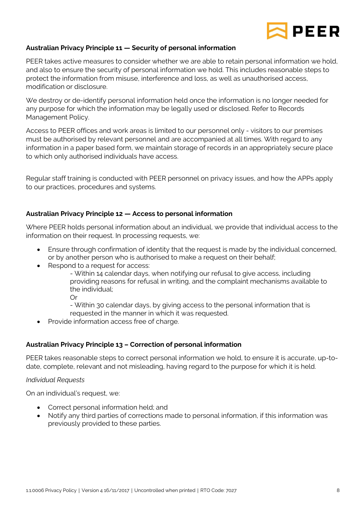

# **Australian Privacy Principle 11 — Security of personal information**

PEER takes active measures to consider whether we are able to retain personal information we hold, and also to ensure the security of personal information we hold. This includes reasonable steps to protect the information from misuse, interference and loss, as well as unauthorised access, modification or disclosure.

We destroy or de-identify personal information held once the information is no longer needed for any purpose for which the information may be legally used or disclosed. Refer to Records Management Policy.

Access to PEER offices and work areas is limited to our personnel only - visitors to our premises must be authorised by relevant personnel and are accompanied at all times. With regard to any information in a paper based form, we maintain storage of records in an appropriately secure place to which only authorised individuals have access.

Regular staff training is conducted with PEER personnel on privacy issues, and how the APPs apply to our practices, procedures and systems.

### **Australian Privacy Principle 12 — Access to personal information**

Where PEER holds personal information about an individual, we provide that individual access to the information on their request. In processing requests, we:

- Ensure through confirmation of identity that the request is made by the individual concerned, or by another person who is authorised to make a request on their behalf;
- Respond to a request for access:

- Within 14 calendar days, when notifying our refusal to give access, including providing reasons for refusal in writing, and the complaint mechanisms available to the individual;

Or

- Within 30 calendar days, by giving access to the personal information that is requested in the manner in which it was requested.

• Provide information access free of charge.

# **Australian Privacy Principle 13 – Correction of personal information**

PEER takes reasonable steps to correct personal information we hold, to ensure it is accurate, up-todate, complete, relevant and not misleading, having regard to the purpose for which it is held.

### *Individual Requests*

On an individual's request, we:

- Correct personal information held; and
- Notify any third parties of corrections made to personal information, if this information was previously provided to these parties.